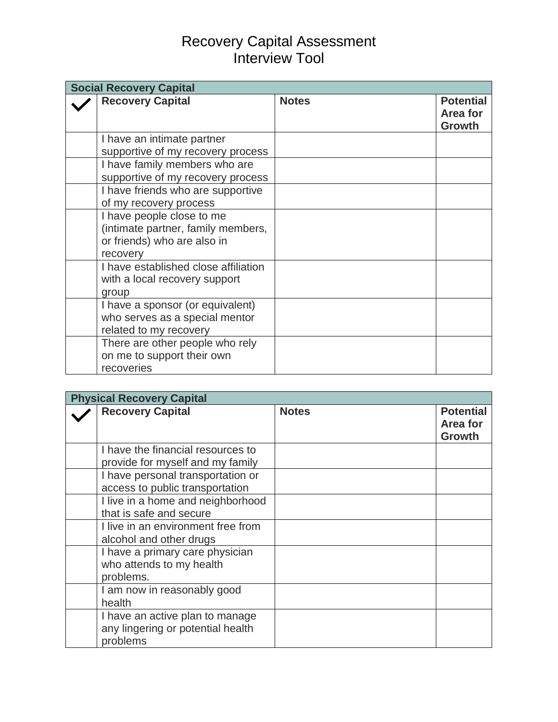## Recovery Capital Assessment Interview Tool

| <b>Social Recovery Capital</b> |                                                                                                            |              |                                               |
|--------------------------------|------------------------------------------------------------------------------------------------------------|--------------|-----------------------------------------------|
|                                | <b>Recovery Capital</b>                                                                                    | <b>Notes</b> | <b>Potential</b><br>Area for<br><b>Growth</b> |
|                                | I have an intimate partner<br>supportive of my recovery process                                            |              |                                               |
|                                | I have family members who are<br>supportive of my recovery process                                         |              |                                               |
|                                | I have friends who are supportive<br>of my recovery process                                                |              |                                               |
|                                | I have people close to me<br>(intimate partner, family members,<br>or friends) who are also in<br>recovery |              |                                               |
|                                | I have established close affiliation<br>with a local recovery support<br>group                             |              |                                               |
|                                | I have a sponsor (or equivalent)<br>who serves as a special mentor<br>related to my recovery               |              |                                               |
|                                | There are other people who rely<br>on me to support their own<br>recoveries                                |              |                                               |

| <b>Physical Recovery Capital</b> |                                                                                  |              |                                               |
|----------------------------------|----------------------------------------------------------------------------------|--------------|-----------------------------------------------|
|                                  | <b>Recovery Capital</b>                                                          | <b>Notes</b> | <b>Potential</b><br><b>Area for</b><br>Growth |
|                                  | I have the financial resources to<br>provide for myself and my family            |              |                                               |
|                                  | I have personal transportation or<br>access to public transportation             |              |                                               |
|                                  | I live in a home and neighborhood<br>that is safe and secure                     |              |                                               |
|                                  | I live in an environment free from<br>alcohol and other drugs                    |              |                                               |
|                                  | I have a primary care physician<br>who attends to my health<br>problems.         |              |                                               |
|                                  | I am now in reasonably good<br>health                                            |              |                                               |
|                                  | I have an active plan to manage<br>any lingering or potential health<br>problems |              |                                               |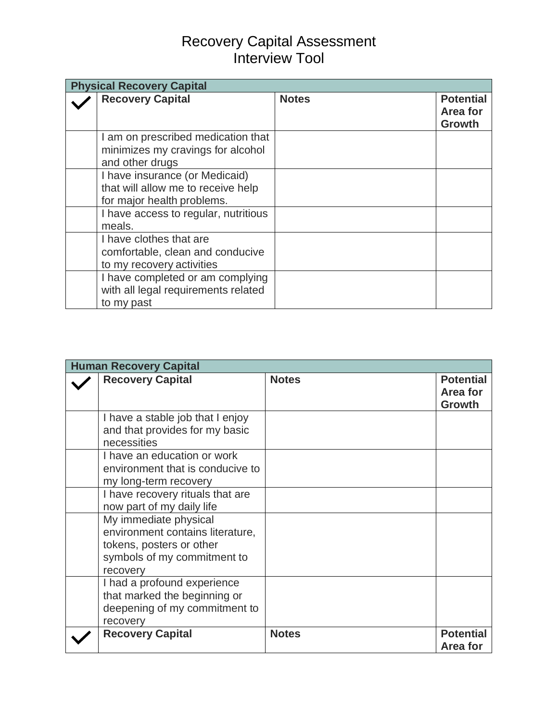## Recovery Capital Assessment Interview Tool

| <b>Physical Recovery Capital</b> |                                                                                                    |              |                                               |
|----------------------------------|----------------------------------------------------------------------------------------------------|--------------|-----------------------------------------------|
|                                  | <b>Recovery Capital</b>                                                                            | <b>Notes</b> | <b>Potential</b><br>Area for<br><b>Growth</b> |
|                                  | I am on prescribed medication that<br>minimizes my cravings for alcohol<br>and other drugs         |              |                                               |
|                                  | I have insurance (or Medicaid)<br>that will allow me to receive help<br>for major health problems. |              |                                               |
|                                  | I have access to regular, nutritious<br>meals.                                                     |              |                                               |
|                                  | I have clothes that are<br>comfortable, clean and conducive<br>to my recovery activities           |              |                                               |
|                                  | I have completed or am complying<br>with all legal requirements related<br>to my past              |              |                                               |

| <b>Human Recovery Capital</b> |                                                                                                                                  |              |                                        |
|-------------------------------|----------------------------------------------------------------------------------------------------------------------------------|--------------|----------------------------------------|
|                               | <b>Recovery Capital</b>                                                                                                          | <b>Notes</b> | <b>Potential</b><br>Area for<br>Growth |
|                               | I have a stable job that I enjoy<br>and that provides for my basic<br>necessities                                                |              |                                        |
|                               | I have an education or work<br>environment that is conducive to<br>my long-term recovery                                         |              |                                        |
|                               | I have recovery rituals that are<br>now part of my daily life                                                                    |              |                                        |
|                               | My immediate physical<br>environment contains literature,<br>tokens, posters or other<br>symbols of my commitment to<br>recovery |              |                                        |
|                               | I had a profound experience<br>that marked the beginning or<br>deepening of my commitment to<br>recovery                         |              |                                        |
|                               | <b>Recovery Capital</b>                                                                                                          | <b>Notes</b> | <b>Potential</b><br>Area for           |